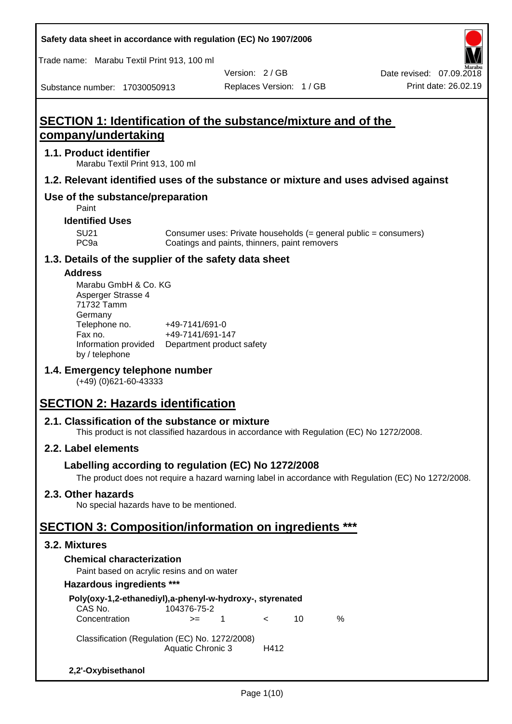Trade name: Marabu Textil Print 913, 100 ml

Substance number: 17030050913

Version: 2 / GB

# **SECTION 1: Identification of the substance/mixture and of the company/undertaking**

## **1.1. Product identifier**

Marabu Textil Print 913, 100 ml

## **1.2. Relevant identified uses of the substance or mixture and uses advised against**

## **Use of the substance/preparation**

Paint

## **Identified Uses**

SU21 Consumer uses: Private households (= general public = consumers)<br>PC9a Coatings and paints, thinners, paint removers Coatings and paints, thinners, paint removers

## **1.3. Details of the supplier of the safety data sheet**

#### **Address**

| Marabu GmbH & Co. KG |                           |
|----------------------|---------------------------|
| Asperger Strasse 4   |                           |
| 71732 Tamm           |                           |
| Germany              |                           |
| Telephone no.        | +49-7141/691-0            |
| Fax no.              | +49-7141/691-147          |
| Information provided | Department product safety |
| by / telephone       |                           |

## **1.4. Emergency telephone number**

(+49) (0)621-60-43333

# **SECTION 2: Hazards identification**

## **2.1. Classification of the substance or mixture**

This product is not classified hazardous in accordance with Regulation (EC) No 1272/2008.

## **2.2. Label elements**

## **Labelling according to regulation (EC) No 1272/2008**

The product does not require a hazard warning label in accordance with Regulation (EC) No 1272/2008.

## **2.3. Other hazards**

No special hazards have to be mentioned.

# **SECTION 3: Composition/information on ingredients \*\*\***

## **3.2. Mixtures**

## **Chemical characterization**

Paint based on acrylic resins and on water

#### **Hazardous ingredients \*\*\***

| Poly(oxy-1,2-ethanediyl),a-phenyl-w-hydroxy-, styrenated<br>CAS No.                | 104376-75-2 |    |            |    |   |
|------------------------------------------------------------------------------------|-------------|----|------------|----|---|
| Concentration                                                                      | $>=$        | -1 | $\epsilon$ | 10 | ℅ |
| Classification (Regulation (EC) No. 1272/2008)<br><b>Aquatic Chronic 3</b><br>H412 |             |    |            |    |   |
| 2,2'-Oxybisethanol                                                                 |             |    |            |    |   |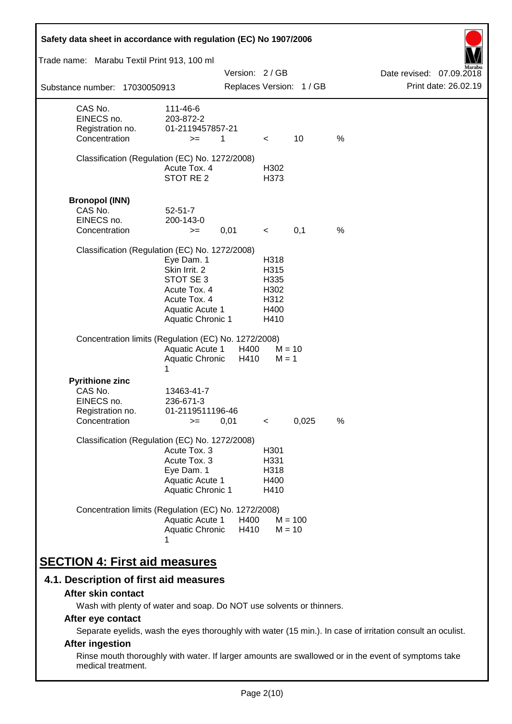| Safety data sheet in accordance with regulation (EC) No 1907/2006                    |                                                                                                                                |               |                                                      |                          |   |                          |
|--------------------------------------------------------------------------------------|--------------------------------------------------------------------------------------------------------------------------------|---------------|------------------------------------------------------|--------------------------|---|--------------------------|
| Trade name: Marabu Textil Print 913, 100 ml                                          |                                                                                                                                |               |                                                      |                          |   |                          |
|                                                                                      |                                                                                                                                | Version: 2/GB |                                                      |                          |   | Date revised: 07.09.2018 |
| Substance number: 17030050913                                                        |                                                                                                                                |               |                                                      | Replaces Version: 1 / GB |   | Print date: 26.02.19     |
| CAS No.<br>EINECS no.<br>Registration no.<br>Concentration                           | 111-46-6<br>203-872-2<br>01-2119457857-21<br>$>=$                                                                              | 1             | $\lt$                                                | 10                       | % |                          |
| Classification (Regulation (EC) No. 1272/2008)                                       | Acute Tox. 4<br>STOT RE 2                                                                                                      |               | H302<br>H373                                         |                          |   |                          |
| <b>Bronopol (INN)</b><br>CAS No.<br>EINECS no.<br>Concentration                      | $52 - 51 - 7$<br>200-143-0<br>$>=$                                                                                             | 0,01          | $\overline{\phantom{a}}$                             | 0,1                      | % |                          |
| Classification (Regulation (EC) No. 1272/2008)                                       | Eye Dam. 1<br>Skin Irrit. 2<br>STOT SE 3<br>Acute Tox. 4<br>Acute Tox. 4<br><b>Aquatic Acute 1</b><br><b>Aquatic Chronic 1</b> |               | H318<br>H315<br>H335<br>H302<br>H312<br>H400<br>H410 |                          |   |                          |
| Concentration limits (Regulation (EC) No. 1272/2008)                                 | <b>Aquatic Acute 1</b><br>Aquatic Chronic<br>1                                                                                 | H400<br>H410  | $M = 1$                                              | $M = 10$                 |   |                          |
| <b>Pyrithione zinc</b><br>CAS No.<br>EINECS no.<br>Registration no.<br>Concentration | 13463-41-7<br>236-671-3<br>01-2119511196-46<br>$>=$                                                                            | 0,01          | $\,<\,$                                              | 0,025                    | % |                          |
| Classification (Regulation (EC) No. 1272/2008)                                       | Acute Tox. 3<br>Acute Tox. 3<br>Eye Dam. 1<br>Aquatic Acute 1<br>Aquatic Chronic 1                                             |               | H <sub>301</sub><br>H331<br>H318<br>H400<br>H410     |                          |   |                          |
| Concentration limits (Regulation (EC) No. 1272/2008)                                 | Aquatic Acute 1<br>Aquatic Chronic                                                                                             | H400<br>H410  |                                                      | $M = 100$<br>$M = 10$    |   |                          |
| <b>SECTION 4: First aid measures</b>                                                 |                                                                                                                                |               |                                                      |                          |   |                          |

## **4.1. Description of first aid measures**

#### **After skin contact**

Wash with plenty of water and soap. Do NOT use solvents or thinners.

## **After eye contact**

Separate eyelids, wash the eyes thoroughly with water (15 min.). In case of irritation consult an oculist.

## **After ingestion**

Rinse mouth thoroughly with water. If larger amounts are swallowed or in the event of symptoms take medical treatment.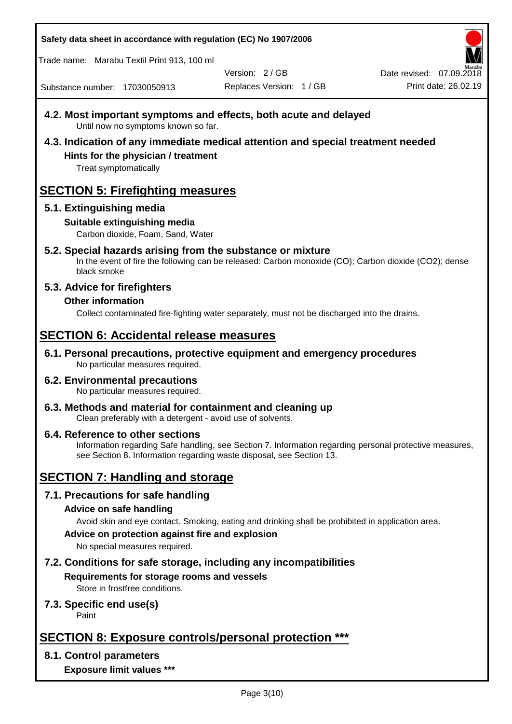Trade name: Marabu Textil Print 913, 100 ml

Version: 2 / GB

Replaces Version: 1 / GB Print date: 26.02.19 Date revised: 07.09.2018

Substance number: 17030050913

- **4.2. Most important symptoms and effects, both acute and delayed** Until now no symptoms known so far.
- **4.3. Indication of any immediate medical attention and special treatment needed Hints for the physician / treatment**

Treat symptomatically

# **SECTION 5: Firefighting measures**

## **5.1. Extinguishing media**

## **Suitable extinguishing media**

Carbon dioxide, Foam, Sand, Water

# **5.2. Special hazards arising from the substance or mixture**

In the event of fire the following can be released: Carbon monoxide (CO); Carbon dioxide (CO2); dense black smoke

## **5.3. Advice for firefighters**

## **Other information**

Collect contaminated fire-fighting water separately, must not be discharged into the drains.

# **SECTION 6: Accidental release measures**

**6.1. Personal precautions, protective equipment and emergency procedures** No particular measures required.

#### **6.2. Environmental precautions** No particular measures required.

**6.3. Methods and material for containment and cleaning up** Clean preferably with a detergent - avoid use of solvents.

#### **6.4. Reference to other sections** Information regarding Safe handling, see Section 7. Information regarding personal protective measures, see Section 8. Information regarding waste disposal, see Section 13.

# **SECTION 7: Handling and storage**

## **7.1. Precautions for safe handling**

## **Advice on safe handling**

Avoid skin and eye contact. Smoking, eating and drinking shall be prohibited in application area.

**Advice on protection against fire and explosion**

No special measures required.

## **7.2. Conditions for safe storage, including any incompatibilities Requirements for storage rooms and vessels**

Store in frostfree conditions.

## **7.3. Specific end use(s)**

Paint

# **SECTION 8: Exposure controls/personal protection \*\*\***

## **8.1. Control parameters**

**Exposure limit values \*\*\***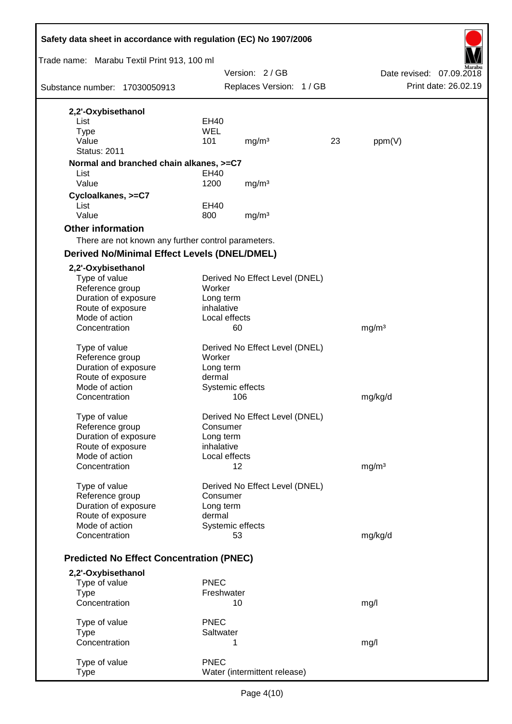| Trade name: Marabu Textil Print 913, 100 ml<br>Version: 2/GB<br>Date revised: 07.09.2018<br>Print date: 26.02.19<br>Replaces Version: 1 / GB<br>Substance number: 17030050913<br>2,2'-Oxybisethanol<br>List<br>EH40<br><b>WEL</b><br><b>Type</b><br>Value<br>101<br>mg/m <sup>3</sup><br>23<br>ppm(V)<br><b>Status: 2011</b><br>Normal and branched chain alkanes, >=C7<br>List<br>EH40<br>Value<br>1200<br>mg/m <sup>3</sup><br>Cycloalkanes, >=C7<br>List<br><b>EH40</b><br>Value<br>800<br>mg/m <sup>3</sup><br><b>Other information</b><br>There are not known any further control parameters.<br><b>Derived No/Minimal Effect Levels (DNEL/DMEL)</b><br>2,2'-Oxybisethanol<br>Type of value<br>Derived No Effect Level (DNEL)<br>Reference group<br>Worker<br>Duration of exposure<br>Long term<br>inhalative<br>Route of exposure<br>Mode of action<br>Local effects<br>Concentration<br>60<br>mg/m <sup>3</sup><br>Type of value<br>Derived No Effect Level (DNEL)<br>Reference group<br>Worker<br>Duration of exposure<br>Long term<br>Route of exposure<br>dermal<br>Mode of action<br>Systemic effects<br>106<br>mg/kg/d<br>Concentration<br>Type of value<br>Derived No Effect Level (DNEL)<br>Reference group<br>Consumer<br>Duration of exposure<br>Long term<br>Route of exposure<br>inhalative<br>Mode of action<br>Local effects<br>Concentration<br>12<br>mg/m <sup>3</sup><br>Type of value<br>Derived No Effect Level (DNEL)<br>Reference group<br>Consumer<br>Duration of exposure<br>Long term<br>Route of exposure<br>dermal<br>Systemic effects<br>Mode of action<br>Concentration<br>mg/kg/d<br>53<br><b>Predicted No Effect Concentration (PNEC)</b><br>2,2'-Oxybisethanol<br><b>PNEC</b><br>Type of value<br><b>Type</b><br>Freshwater<br>Concentration<br>10<br>mg/l | Safety data sheet in accordance with regulation (EC) No 1907/2006 |  |  |  |  |  |  |  |
|-------------------------------------------------------------------------------------------------------------------------------------------------------------------------------------------------------------------------------------------------------------------------------------------------------------------------------------------------------------------------------------------------------------------------------------------------------------------------------------------------------------------------------------------------------------------------------------------------------------------------------------------------------------------------------------------------------------------------------------------------------------------------------------------------------------------------------------------------------------------------------------------------------------------------------------------------------------------------------------------------------------------------------------------------------------------------------------------------------------------------------------------------------------------------------------------------------------------------------------------------------------------------------------------------------------------------------------------------------------------------------------------------------------------------------------------------------------------------------------------------------------------------------------------------------------------------------------------------------------------------------------------------------------------------------------------------------------------------------------------------------------------------------------------------|-------------------------------------------------------------------|--|--|--|--|--|--|--|
|                                                                                                                                                                                                                                                                                                                                                                                                                                                                                                                                                                                                                                                                                                                                                                                                                                                                                                                                                                                                                                                                                                                                                                                                                                                                                                                                                                                                                                                                                                                                                                                                                                                                                                                                                                                                 |                                                                   |  |  |  |  |  |  |  |
|                                                                                                                                                                                                                                                                                                                                                                                                                                                                                                                                                                                                                                                                                                                                                                                                                                                                                                                                                                                                                                                                                                                                                                                                                                                                                                                                                                                                                                                                                                                                                                                                                                                                                                                                                                                                 |                                                                   |  |  |  |  |  |  |  |
|                                                                                                                                                                                                                                                                                                                                                                                                                                                                                                                                                                                                                                                                                                                                                                                                                                                                                                                                                                                                                                                                                                                                                                                                                                                                                                                                                                                                                                                                                                                                                                                                                                                                                                                                                                                                 |                                                                   |  |  |  |  |  |  |  |
|                                                                                                                                                                                                                                                                                                                                                                                                                                                                                                                                                                                                                                                                                                                                                                                                                                                                                                                                                                                                                                                                                                                                                                                                                                                                                                                                                                                                                                                                                                                                                                                                                                                                                                                                                                                                 |                                                                   |  |  |  |  |  |  |  |
|                                                                                                                                                                                                                                                                                                                                                                                                                                                                                                                                                                                                                                                                                                                                                                                                                                                                                                                                                                                                                                                                                                                                                                                                                                                                                                                                                                                                                                                                                                                                                                                                                                                                                                                                                                                                 |                                                                   |  |  |  |  |  |  |  |
|                                                                                                                                                                                                                                                                                                                                                                                                                                                                                                                                                                                                                                                                                                                                                                                                                                                                                                                                                                                                                                                                                                                                                                                                                                                                                                                                                                                                                                                                                                                                                                                                                                                                                                                                                                                                 |                                                                   |  |  |  |  |  |  |  |
|                                                                                                                                                                                                                                                                                                                                                                                                                                                                                                                                                                                                                                                                                                                                                                                                                                                                                                                                                                                                                                                                                                                                                                                                                                                                                                                                                                                                                                                                                                                                                                                                                                                                                                                                                                                                 |                                                                   |  |  |  |  |  |  |  |
|                                                                                                                                                                                                                                                                                                                                                                                                                                                                                                                                                                                                                                                                                                                                                                                                                                                                                                                                                                                                                                                                                                                                                                                                                                                                                                                                                                                                                                                                                                                                                                                                                                                                                                                                                                                                 |                                                                   |  |  |  |  |  |  |  |
|                                                                                                                                                                                                                                                                                                                                                                                                                                                                                                                                                                                                                                                                                                                                                                                                                                                                                                                                                                                                                                                                                                                                                                                                                                                                                                                                                                                                                                                                                                                                                                                                                                                                                                                                                                                                 |                                                                   |  |  |  |  |  |  |  |
|                                                                                                                                                                                                                                                                                                                                                                                                                                                                                                                                                                                                                                                                                                                                                                                                                                                                                                                                                                                                                                                                                                                                                                                                                                                                                                                                                                                                                                                                                                                                                                                                                                                                                                                                                                                                 |                                                                   |  |  |  |  |  |  |  |
|                                                                                                                                                                                                                                                                                                                                                                                                                                                                                                                                                                                                                                                                                                                                                                                                                                                                                                                                                                                                                                                                                                                                                                                                                                                                                                                                                                                                                                                                                                                                                                                                                                                                                                                                                                                                 |                                                                   |  |  |  |  |  |  |  |
|                                                                                                                                                                                                                                                                                                                                                                                                                                                                                                                                                                                                                                                                                                                                                                                                                                                                                                                                                                                                                                                                                                                                                                                                                                                                                                                                                                                                                                                                                                                                                                                                                                                                                                                                                                                                 |                                                                   |  |  |  |  |  |  |  |
|                                                                                                                                                                                                                                                                                                                                                                                                                                                                                                                                                                                                                                                                                                                                                                                                                                                                                                                                                                                                                                                                                                                                                                                                                                                                                                                                                                                                                                                                                                                                                                                                                                                                                                                                                                                                 |                                                                   |  |  |  |  |  |  |  |
|                                                                                                                                                                                                                                                                                                                                                                                                                                                                                                                                                                                                                                                                                                                                                                                                                                                                                                                                                                                                                                                                                                                                                                                                                                                                                                                                                                                                                                                                                                                                                                                                                                                                                                                                                                                                 |                                                                   |  |  |  |  |  |  |  |
|                                                                                                                                                                                                                                                                                                                                                                                                                                                                                                                                                                                                                                                                                                                                                                                                                                                                                                                                                                                                                                                                                                                                                                                                                                                                                                                                                                                                                                                                                                                                                                                                                                                                                                                                                                                                 |                                                                   |  |  |  |  |  |  |  |
|                                                                                                                                                                                                                                                                                                                                                                                                                                                                                                                                                                                                                                                                                                                                                                                                                                                                                                                                                                                                                                                                                                                                                                                                                                                                                                                                                                                                                                                                                                                                                                                                                                                                                                                                                                                                 |                                                                   |  |  |  |  |  |  |  |
|                                                                                                                                                                                                                                                                                                                                                                                                                                                                                                                                                                                                                                                                                                                                                                                                                                                                                                                                                                                                                                                                                                                                                                                                                                                                                                                                                                                                                                                                                                                                                                                                                                                                                                                                                                                                 |                                                                   |  |  |  |  |  |  |  |
|                                                                                                                                                                                                                                                                                                                                                                                                                                                                                                                                                                                                                                                                                                                                                                                                                                                                                                                                                                                                                                                                                                                                                                                                                                                                                                                                                                                                                                                                                                                                                                                                                                                                                                                                                                                                 |                                                                   |  |  |  |  |  |  |  |
|                                                                                                                                                                                                                                                                                                                                                                                                                                                                                                                                                                                                                                                                                                                                                                                                                                                                                                                                                                                                                                                                                                                                                                                                                                                                                                                                                                                                                                                                                                                                                                                                                                                                                                                                                                                                 |                                                                   |  |  |  |  |  |  |  |
|                                                                                                                                                                                                                                                                                                                                                                                                                                                                                                                                                                                                                                                                                                                                                                                                                                                                                                                                                                                                                                                                                                                                                                                                                                                                                                                                                                                                                                                                                                                                                                                                                                                                                                                                                                                                 |                                                                   |  |  |  |  |  |  |  |
|                                                                                                                                                                                                                                                                                                                                                                                                                                                                                                                                                                                                                                                                                                                                                                                                                                                                                                                                                                                                                                                                                                                                                                                                                                                                                                                                                                                                                                                                                                                                                                                                                                                                                                                                                                                                 |                                                                   |  |  |  |  |  |  |  |
|                                                                                                                                                                                                                                                                                                                                                                                                                                                                                                                                                                                                                                                                                                                                                                                                                                                                                                                                                                                                                                                                                                                                                                                                                                                                                                                                                                                                                                                                                                                                                                                                                                                                                                                                                                                                 |                                                                   |  |  |  |  |  |  |  |
|                                                                                                                                                                                                                                                                                                                                                                                                                                                                                                                                                                                                                                                                                                                                                                                                                                                                                                                                                                                                                                                                                                                                                                                                                                                                                                                                                                                                                                                                                                                                                                                                                                                                                                                                                                                                 |                                                                   |  |  |  |  |  |  |  |
|                                                                                                                                                                                                                                                                                                                                                                                                                                                                                                                                                                                                                                                                                                                                                                                                                                                                                                                                                                                                                                                                                                                                                                                                                                                                                                                                                                                                                                                                                                                                                                                                                                                                                                                                                                                                 |                                                                   |  |  |  |  |  |  |  |
|                                                                                                                                                                                                                                                                                                                                                                                                                                                                                                                                                                                                                                                                                                                                                                                                                                                                                                                                                                                                                                                                                                                                                                                                                                                                                                                                                                                                                                                                                                                                                                                                                                                                                                                                                                                                 |                                                                   |  |  |  |  |  |  |  |
|                                                                                                                                                                                                                                                                                                                                                                                                                                                                                                                                                                                                                                                                                                                                                                                                                                                                                                                                                                                                                                                                                                                                                                                                                                                                                                                                                                                                                                                                                                                                                                                                                                                                                                                                                                                                 |                                                                   |  |  |  |  |  |  |  |
|                                                                                                                                                                                                                                                                                                                                                                                                                                                                                                                                                                                                                                                                                                                                                                                                                                                                                                                                                                                                                                                                                                                                                                                                                                                                                                                                                                                                                                                                                                                                                                                                                                                                                                                                                                                                 |                                                                   |  |  |  |  |  |  |  |
|                                                                                                                                                                                                                                                                                                                                                                                                                                                                                                                                                                                                                                                                                                                                                                                                                                                                                                                                                                                                                                                                                                                                                                                                                                                                                                                                                                                                                                                                                                                                                                                                                                                                                                                                                                                                 |                                                                   |  |  |  |  |  |  |  |
|                                                                                                                                                                                                                                                                                                                                                                                                                                                                                                                                                                                                                                                                                                                                                                                                                                                                                                                                                                                                                                                                                                                                                                                                                                                                                                                                                                                                                                                                                                                                                                                                                                                                                                                                                                                                 |                                                                   |  |  |  |  |  |  |  |
|                                                                                                                                                                                                                                                                                                                                                                                                                                                                                                                                                                                                                                                                                                                                                                                                                                                                                                                                                                                                                                                                                                                                                                                                                                                                                                                                                                                                                                                                                                                                                                                                                                                                                                                                                                                                 |                                                                   |  |  |  |  |  |  |  |
|                                                                                                                                                                                                                                                                                                                                                                                                                                                                                                                                                                                                                                                                                                                                                                                                                                                                                                                                                                                                                                                                                                                                                                                                                                                                                                                                                                                                                                                                                                                                                                                                                                                                                                                                                                                                 |                                                                   |  |  |  |  |  |  |  |
|                                                                                                                                                                                                                                                                                                                                                                                                                                                                                                                                                                                                                                                                                                                                                                                                                                                                                                                                                                                                                                                                                                                                                                                                                                                                                                                                                                                                                                                                                                                                                                                                                                                                                                                                                                                                 |                                                                   |  |  |  |  |  |  |  |
|                                                                                                                                                                                                                                                                                                                                                                                                                                                                                                                                                                                                                                                                                                                                                                                                                                                                                                                                                                                                                                                                                                                                                                                                                                                                                                                                                                                                                                                                                                                                                                                                                                                                                                                                                                                                 |                                                                   |  |  |  |  |  |  |  |
|                                                                                                                                                                                                                                                                                                                                                                                                                                                                                                                                                                                                                                                                                                                                                                                                                                                                                                                                                                                                                                                                                                                                                                                                                                                                                                                                                                                                                                                                                                                                                                                                                                                                                                                                                                                                 |                                                                   |  |  |  |  |  |  |  |
|                                                                                                                                                                                                                                                                                                                                                                                                                                                                                                                                                                                                                                                                                                                                                                                                                                                                                                                                                                                                                                                                                                                                                                                                                                                                                                                                                                                                                                                                                                                                                                                                                                                                                                                                                                                                 |                                                                   |  |  |  |  |  |  |  |
|                                                                                                                                                                                                                                                                                                                                                                                                                                                                                                                                                                                                                                                                                                                                                                                                                                                                                                                                                                                                                                                                                                                                                                                                                                                                                                                                                                                                                                                                                                                                                                                                                                                                                                                                                                                                 |                                                                   |  |  |  |  |  |  |  |
|                                                                                                                                                                                                                                                                                                                                                                                                                                                                                                                                                                                                                                                                                                                                                                                                                                                                                                                                                                                                                                                                                                                                                                                                                                                                                                                                                                                                                                                                                                                                                                                                                                                                                                                                                                                                 |                                                                   |  |  |  |  |  |  |  |
|                                                                                                                                                                                                                                                                                                                                                                                                                                                                                                                                                                                                                                                                                                                                                                                                                                                                                                                                                                                                                                                                                                                                                                                                                                                                                                                                                                                                                                                                                                                                                                                                                                                                                                                                                                                                 |                                                                   |  |  |  |  |  |  |  |
|                                                                                                                                                                                                                                                                                                                                                                                                                                                                                                                                                                                                                                                                                                                                                                                                                                                                                                                                                                                                                                                                                                                                                                                                                                                                                                                                                                                                                                                                                                                                                                                                                                                                                                                                                                                                 |                                                                   |  |  |  |  |  |  |  |
|                                                                                                                                                                                                                                                                                                                                                                                                                                                                                                                                                                                                                                                                                                                                                                                                                                                                                                                                                                                                                                                                                                                                                                                                                                                                                                                                                                                                                                                                                                                                                                                                                                                                                                                                                                                                 |                                                                   |  |  |  |  |  |  |  |
|                                                                                                                                                                                                                                                                                                                                                                                                                                                                                                                                                                                                                                                                                                                                                                                                                                                                                                                                                                                                                                                                                                                                                                                                                                                                                                                                                                                                                                                                                                                                                                                                                                                                                                                                                                                                 |                                                                   |  |  |  |  |  |  |  |
|                                                                                                                                                                                                                                                                                                                                                                                                                                                                                                                                                                                                                                                                                                                                                                                                                                                                                                                                                                                                                                                                                                                                                                                                                                                                                                                                                                                                                                                                                                                                                                                                                                                                                                                                                                                                 |                                                                   |  |  |  |  |  |  |  |
|                                                                                                                                                                                                                                                                                                                                                                                                                                                                                                                                                                                                                                                                                                                                                                                                                                                                                                                                                                                                                                                                                                                                                                                                                                                                                                                                                                                                                                                                                                                                                                                                                                                                                                                                                                                                 |                                                                   |  |  |  |  |  |  |  |
|                                                                                                                                                                                                                                                                                                                                                                                                                                                                                                                                                                                                                                                                                                                                                                                                                                                                                                                                                                                                                                                                                                                                                                                                                                                                                                                                                                                                                                                                                                                                                                                                                                                                                                                                                                                                 |                                                                   |  |  |  |  |  |  |  |
|                                                                                                                                                                                                                                                                                                                                                                                                                                                                                                                                                                                                                                                                                                                                                                                                                                                                                                                                                                                                                                                                                                                                                                                                                                                                                                                                                                                                                                                                                                                                                                                                                                                                                                                                                                                                 |                                                                   |  |  |  |  |  |  |  |
|                                                                                                                                                                                                                                                                                                                                                                                                                                                                                                                                                                                                                                                                                                                                                                                                                                                                                                                                                                                                                                                                                                                                                                                                                                                                                                                                                                                                                                                                                                                                                                                                                                                                                                                                                                                                 |                                                                   |  |  |  |  |  |  |  |
|                                                                                                                                                                                                                                                                                                                                                                                                                                                                                                                                                                                                                                                                                                                                                                                                                                                                                                                                                                                                                                                                                                                                                                                                                                                                                                                                                                                                                                                                                                                                                                                                                                                                                                                                                                                                 |                                                                   |  |  |  |  |  |  |  |
| <b>PNEC</b><br>Type of value                                                                                                                                                                                                                                                                                                                                                                                                                                                                                                                                                                                                                                                                                                                                                                                                                                                                                                                                                                                                                                                                                                                                                                                                                                                                                                                                                                                                                                                                                                                                                                                                                                                                                                                                                                    |                                                                   |  |  |  |  |  |  |  |
| <b>Type</b><br>Saltwater                                                                                                                                                                                                                                                                                                                                                                                                                                                                                                                                                                                                                                                                                                                                                                                                                                                                                                                                                                                                                                                                                                                                                                                                                                                                                                                                                                                                                                                                                                                                                                                                                                                                                                                                                                        |                                                                   |  |  |  |  |  |  |  |
| Concentration<br>1<br>mg/l                                                                                                                                                                                                                                                                                                                                                                                                                                                                                                                                                                                                                                                                                                                                                                                                                                                                                                                                                                                                                                                                                                                                                                                                                                                                                                                                                                                                                                                                                                                                                                                                                                                                                                                                                                      |                                                                   |  |  |  |  |  |  |  |
|                                                                                                                                                                                                                                                                                                                                                                                                                                                                                                                                                                                                                                                                                                                                                                                                                                                                                                                                                                                                                                                                                                                                                                                                                                                                                                                                                                                                                                                                                                                                                                                                                                                                                                                                                                                                 |                                                                   |  |  |  |  |  |  |  |
| <b>PNEC</b><br>Type of value                                                                                                                                                                                                                                                                                                                                                                                                                                                                                                                                                                                                                                                                                                                                                                                                                                                                                                                                                                                                                                                                                                                                                                                                                                                                                                                                                                                                                                                                                                                                                                                                                                                                                                                                                                    |                                                                   |  |  |  |  |  |  |  |
| Water (intermittent release)<br><b>Type</b>                                                                                                                                                                                                                                                                                                                                                                                                                                                                                                                                                                                                                                                                                                                                                                                                                                                                                                                                                                                                                                                                                                                                                                                                                                                                                                                                                                                                                                                                                                                                                                                                                                                                                                                                                     |                                                                   |  |  |  |  |  |  |  |

 $\mathbf{r}$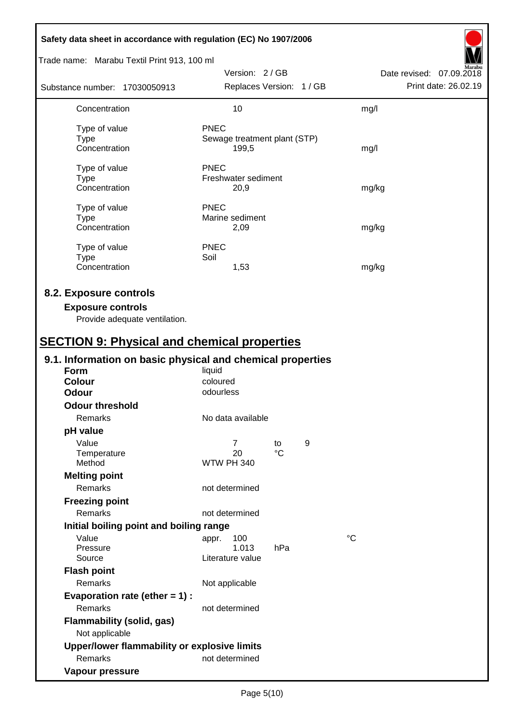| Safety data sheet in accordance with regulation (EC) No 1907/2006                                                                         |                                           |                 |   |                                                  |
|-------------------------------------------------------------------------------------------------------------------------------------------|-------------------------------------------|-----------------|---|--------------------------------------------------|
| Trade name: Marabu Textil Print 913, 100 ml                                                                                               |                                           |                 |   |                                                  |
| Substance number: 17030050913                                                                                                             | Version: 2/GB<br>Replaces Version: 1 / GB |                 |   | Date revised: 07.09.2018<br>Print date: 26.02.19 |
|                                                                                                                                           | 10                                        |                 |   |                                                  |
| Concentration                                                                                                                             |                                           |                 |   | mg/l                                             |
| Type of value                                                                                                                             | <b>PNEC</b>                               |                 |   |                                                  |
| <b>Type</b><br>Concentration                                                                                                              | Sewage treatment plant (STP)<br>199,5     |                 |   |                                                  |
|                                                                                                                                           |                                           |                 |   | mg/l                                             |
| Type of value                                                                                                                             | <b>PNEC</b>                               |                 |   |                                                  |
| <b>Type</b>                                                                                                                               | Freshwater sediment                       |                 |   |                                                  |
| Concentration                                                                                                                             | 20,9                                      |                 |   | mg/kg                                            |
| Type of value                                                                                                                             | <b>PNEC</b>                               |                 |   |                                                  |
| <b>Type</b>                                                                                                                               | Marine sediment                           |                 |   |                                                  |
| Concentration                                                                                                                             | 2,09                                      |                 |   | mg/kg                                            |
| Type of value                                                                                                                             | <b>PNEC</b>                               |                 |   |                                                  |
| <b>Type</b>                                                                                                                               | Soil                                      |                 |   |                                                  |
| Concentration                                                                                                                             | 1,53                                      |                 |   | mg/kg                                            |
| 8.2. Exposure controls<br><b>Exposure controls</b><br>Provide adequate ventilation.<br><b>SECTION 9: Physical and chemical properties</b> |                                           |                 |   |                                                  |
| 9.1. Information on basic physical and chemical properties                                                                                |                                           |                 |   |                                                  |
| <b>Form</b>                                                                                                                               | liquid                                    |                 |   |                                                  |
| <b>Colour</b><br><b>Odour</b>                                                                                                             | coloured<br>odourless                     |                 |   |                                                  |
| <b>Odour threshold</b>                                                                                                                    |                                           |                 |   |                                                  |
| Remarks                                                                                                                                   | No data available                         |                 |   |                                                  |
| pH value                                                                                                                                  |                                           |                 |   |                                                  |
| Value                                                                                                                                     | $\overline{7}$                            | to              | 9 |                                                  |
| Temperature                                                                                                                               | 20                                        | $\rm ^{\circ}C$ |   |                                                  |
| Method                                                                                                                                    | <b>WTW PH 340</b>                         |                 |   |                                                  |
| <b>Melting point</b>                                                                                                                      |                                           |                 |   |                                                  |
| Remarks                                                                                                                                   | not determined                            |                 |   |                                                  |
| <b>Freezing point</b>                                                                                                                     |                                           |                 |   |                                                  |
| Remarks                                                                                                                                   | not determined                            |                 |   |                                                  |
| Initial boiling point and boiling range                                                                                                   |                                           |                 |   |                                                  |
| Value                                                                                                                                     | 100<br>appr.<br>1.013                     | hPa             |   | °C                                               |
| Pressure<br>Source                                                                                                                        | Literature value                          |                 |   |                                                  |
| <b>Flash point</b>                                                                                                                        |                                           |                 |   |                                                  |
| Remarks                                                                                                                                   | Not applicable                            |                 |   |                                                  |
| Evaporation rate (ether $= 1$ ) :                                                                                                         |                                           |                 |   |                                                  |
| Remarks                                                                                                                                   | not determined                            |                 |   |                                                  |
| <b>Flammability (solid, gas)</b><br>Not applicable                                                                                        |                                           |                 |   |                                                  |
| Upper/lower flammability or explosive limits                                                                                              |                                           |                 |   |                                                  |
| Remarks                                                                                                                                   | not determined                            |                 |   |                                                  |
| Vapour pressure                                                                                                                           |                                           |                 |   |                                                  |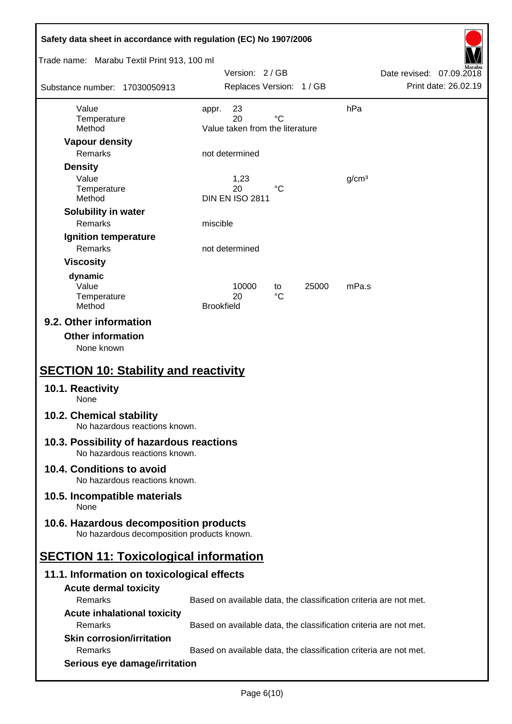| Safety data sheet in accordance with regulation (EC) No 1907/2006                    |                                                                   |                          |  |  |  |
|--------------------------------------------------------------------------------------|-------------------------------------------------------------------|--------------------------|--|--|--|
| Trade name: Marabu Textil Print 913, 100 ml                                          | Version: 2/GB                                                     | Date revised: 07.09.2018 |  |  |  |
| Substance number: 17030050913                                                        | Replaces Version: 1 / GB                                          | Print date: 26.02.19     |  |  |  |
| Value                                                                                | 23<br>appr.                                                       | hPa                      |  |  |  |
| Temperature<br>Method                                                                | $^{\circ}C$<br>20<br>Value taken from the literature              |                          |  |  |  |
| <b>Vapour density</b>                                                                |                                                                   |                          |  |  |  |
| Remarks                                                                              | not determined                                                    |                          |  |  |  |
| <b>Density</b>                                                                       |                                                                   |                          |  |  |  |
| Value                                                                                | 1,23<br>20<br>°C                                                  | g/cm <sup>3</sup>        |  |  |  |
| Temperature<br>Method                                                                | <b>DIN EN ISO 2811</b>                                            |                          |  |  |  |
| Solubility in water                                                                  |                                                                   |                          |  |  |  |
| Remarks                                                                              | miscible                                                          |                          |  |  |  |
| Ignition temperature                                                                 |                                                                   |                          |  |  |  |
| Remarks                                                                              | not determined                                                    |                          |  |  |  |
| <b>Viscosity</b>                                                                     |                                                                   |                          |  |  |  |
| dynamic                                                                              |                                                                   |                          |  |  |  |
| Value<br>Temperature                                                                 | 10000<br>25000<br>to<br>$^{\circ}C$<br>20                         | mPa.s                    |  |  |  |
| Method                                                                               | <b>Brookfield</b>                                                 |                          |  |  |  |
| 9.2. Other information<br><b>Other information</b><br>None known                     |                                                                   |                          |  |  |  |
| <b>SECTION 10: Stability and reactivity</b>                                          |                                                                   |                          |  |  |  |
| 10.1. Reactivity<br>None                                                             |                                                                   |                          |  |  |  |
| 10.2. Chemical stability<br>No hazardous reactions known.                            |                                                                   |                          |  |  |  |
| 10.3. Possibility of hazardous reactions<br>No hazardous reactions known.            |                                                                   |                          |  |  |  |
| 10.4. Conditions to avoid<br>No hazardous reactions known.                           |                                                                   |                          |  |  |  |
| 10.5. Incompatible materials<br>None                                                 |                                                                   |                          |  |  |  |
| 10.6. Hazardous decomposition products<br>No hazardous decomposition products known. |                                                                   |                          |  |  |  |
| <b>SECTION 11: Toxicological information</b>                                         |                                                                   |                          |  |  |  |
| 11.1. Information on toxicological effects                                           |                                                                   |                          |  |  |  |
| <b>Acute dermal toxicity</b>                                                         |                                                                   |                          |  |  |  |
| Remarks                                                                              | Based on available data, the classification criteria are not met. |                          |  |  |  |
| <b>Acute inhalational toxicity</b>                                                   |                                                                   |                          |  |  |  |
| Remarks                                                                              | Based on available data, the classification criteria are not met. |                          |  |  |  |
| <b>Skin corrosion/irritation</b>                                                     |                                                                   |                          |  |  |  |
| Remarks                                                                              | Based on available data, the classification criteria are not met. |                          |  |  |  |
| Serious eye damage/irritation                                                        |                                                                   |                          |  |  |  |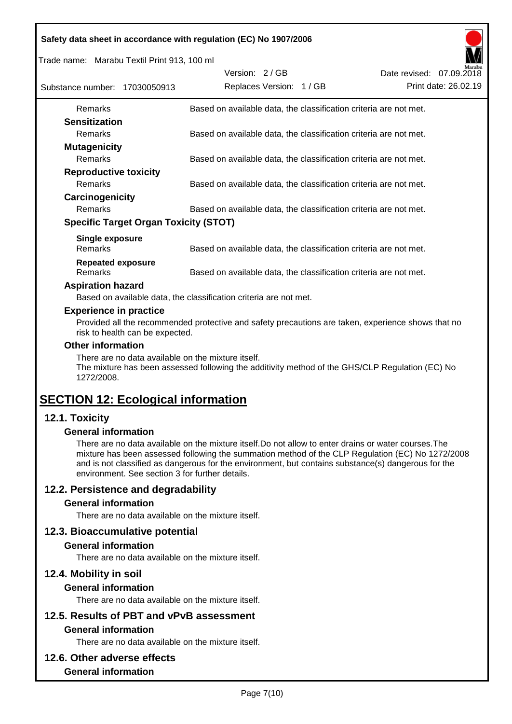Trade name: Marabu Textil Print 913, 100 ml

| Substance number: 17030050913                | Version: 2/GB<br>Replaces Version: 1 / GB                         | Marabu<br>Date revised: 07.09.2018<br>Print date: 26.02.19 |
|----------------------------------------------|-------------------------------------------------------------------|------------------------------------------------------------|
| <b>Remarks</b>                               | Based on available data, the classification criteria are not met. |                                                            |
| <b>Sensitization</b>                         |                                                                   |                                                            |
| <b>Remarks</b>                               | Based on available data, the classification criteria are not met. |                                                            |
| <b>Mutagenicity</b>                          |                                                                   |                                                            |
| <b>Remarks</b>                               | Based on available data, the classification criteria are not met. |                                                            |
| <b>Reproductive toxicity</b>                 |                                                                   |                                                            |
| <b>Remarks</b>                               | Based on available data, the classification criteria are not met. |                                                            |
| Carcinogenicity                              |                                                                   |                                                            |
| <b>Remarks</b>                               | Based on available data, the classification criteria are not met. |                                                            |
| <b>Specific Target Organ Toxicity (STOT)</b> |                                                                   |                                                            |
| Single exposure<br><b>Remarks</b>            | Based on available data, the classification criteria are not met. |                                                            |
| <b>Repeated exposure</b><br>Remarks          | Based on available data, the classification criteria are not met. |                                                            |

#### **Aspiration hazard**

Based on available data, the classification criteria are not met.

#### **Experience in practice**

Provided all the recommended protective and safety precautions are taken, experience shows that no risk to health can be expected.

#### **Other information**

There are no data available on the mixture itself.

The mixture has been assessed following the additivity method of the GHS/CLP Regulation (EC) No 1272/2008.

# **SECTION 12: Ecological information**

## **12.1. Toxicity**

#### **General information**

There are no data available on the mixture itself.Do not allow to enter drains or water courses.The mixture has been assessed following the summation method of the CLP Regulation (EC) No 1272/2008 and is not classified as dangerous for the environment, but contains substance(s) dangerous for the environment. See section 3 for further details.

## **12.2. Persistence and degradability**

#### **General information**

There are no data available on the mixture itself.

#### **12.3. Bioaccumulative potential**

#### **General information**

There are no data available on the mixture itself.

#### **12.4. Mobility in soil**

#### **General information**

There are no data available on the mixture itself.

# **12.5. Results of PBT and vPvB assessment**

## **General information**

There are no data available on the mixture itself.

#### **12.6. Other adverse effects**

#### **General information**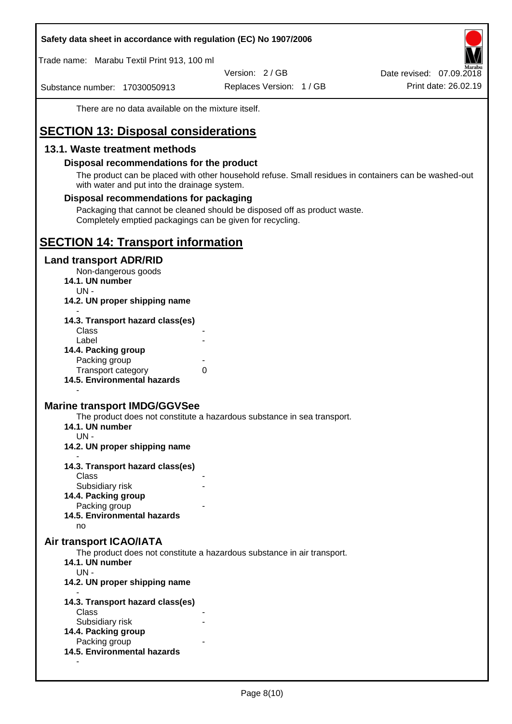Trade name: Marabu Textil Print 913, 100 ml

Version: 2 / GB

Substance number: 17030050913

Replaces Version: 1 / GB Print date: 26.02.19 Date revised: 07.09.2018

There are no data available on the mixture itself.

# **SECTION 13: Disposal considerations**

## **13.1. Waste treatment methods**

#### **Disposal recommendations for the product**

The product can be placed with other household refuse. Small residues in containers can be washed-out with water and put into the drainage system.

#### **Disposal recommendations for packaging**

Packaging that cannot be cleaned should be disposed off as product waste. Completely emptied packagings can be given for recycling.

# **SECTION 14: Transport information**

#### **Land transport ADR/RID**

Non-dangerous goods

- **14.1. UN number**
	- UN -
- **14.2. UN proper shipping name**

| 14.3. Transport hazard class(es) |   |
|----------------------------------|---|
| Class                            |   |
| Label                            |   |
| 14.4. Packing group              |   |
| Packing group                    |   |
| <b>Transport category</b>        | 0 |
| 14.5. Environmental hazards      |   |

## **Marine transport IMDG/GGVSee**

The product does not constitute a hazardous substance in sea transport.

- **14.1. UN number**
- UN -

-

- **14.2. UN proper shipping name**
- **14.3. Transport hazard class(es) Class** 
	- Subsidiary risk
- **14.4. Packing group**
	- Packing group
- **14.5. Environmental hazards**

no

#### **Air transport ICAO/IATA**

The product does not constitute a hazardous substance in air transport.

- **14.1. UN number**
- UN -

-

- **14.2. UN proper shipping name**
- **14.3. Transport hazard class(es)** Class Subsidiary risk **14.4. Packing group** Packing group **14.5. Environmental hazards**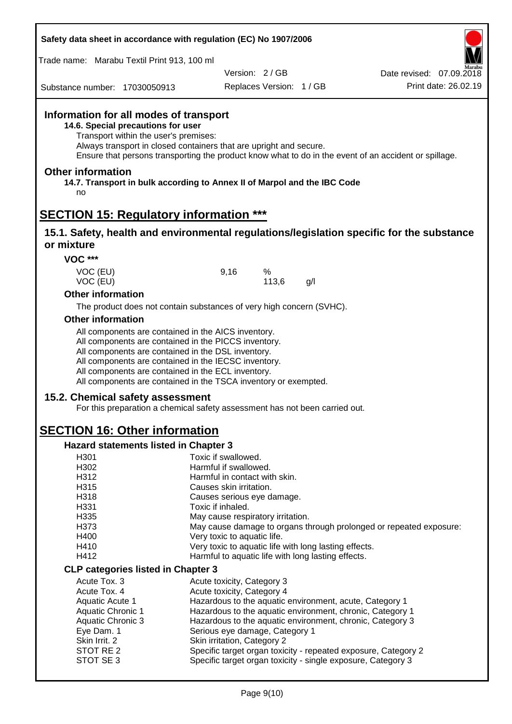| Safety data sheet in accordance with regulation (EC) No 1907/2006 |  |  |  |
|-------------------------------------------------------------------|--|--|--|
|-------------------------------------------------------------------|--|--|--|

Trade name: Marabu Textil Print 913, 100 ml

Version: 2 / GB

Replaces Version: 1 / GB Print date: 26.02.19 Date revised: 07.09.2018

Substance number: 17030050913

## **Information for all modes of transport**

**14.6. Special precautions for user**

Transport within the user's premises:

Always transport in closed containers that are upright and secure.

Ensure that persons transporting the product know what to do in the event of an accident or spillage.

#### **Other information**

**14.7. Transport in bulk according to Annex II of Marpol and the IBC Code** no

## **SECTION 15: Regulatory information \*\*\***

#### **15.1. Safety, health and environmental regulations/legislation specific for the substance or mixture**

**VOC \*\*\***

VOC (EU) 9,16 % VOC (EU) 113,6 g/l

#### **Other information**

The product does not contain substances of very high concern (SVHC).

#### **Other information**

All components are contained in the AICS inventory.

All components are contained in the PICCS inventory.

All components are contained in the DSL inventory.

All components are contained in the IECSC inventory.

All components are contained in the ECL inventory.

All components are contained in the TSCA inventory or exempted.

#### **15.2. Chemical safety assessment**

For this preparation a chemical safety assessment has not been carried out.

# **SECTION 16: Other information**

#### **Hazard statements listed in Chapter 3**

| H301                                      | Toxic if swallowed.                                                |
|-------------------------------------------|--------------------------------------------------------------------|
| H302                                      | Harmful if swallowed.                                              |
| H312                                      | Harmful in contact with skin.                                      |
| H315                                      | Causes skin irritation.                                            |
| H318                                      | Causes serious eye damage.                                         |
| H331                                      | Toxic if inhaled.                                                  |
| H335                                      | May cause respiratory irritation.                                  |
| H373                                      | May cause damage to organs through prolonged or repeated exposure: |
| H400                                      | Very toxic to aquatic life.                                        |
| H410                                      | Very toxic to aquatic life with long lasting effects.              |
| H412                                      | Harmful to aquatic life with long lasting effects.                 |
| <b>CLP categories listed in Chapter 3</b> |                                                                    |
| Acute Tox, 3                              | Acute toxicity, Category 3                                         |
| Acute Tox, 4                              | Acute toxicity, Category 4                                         |
| Aquatic Acute 1                           | Hazardous to the aquatic environment, acute, Category 1            |
| <b>Aquatic Chronic 1</b>                  | Hazardous to the aquatic environment, chronic, Category 1          |
| Aquatic Chronic 3                         | Hazardous to the aquatic environment, chronic, Category 3          |
| Eye Dam. 1                                | Serious eye damage, Category 1                                     |
| Skin Irrit. 2                             | Skin irritation, Category 2                                        |
| STOT RE 2                                 | Specific target organ toxicity - repeated exposure, Category 2     |
| STOT SE3                                  | Specific target organ toxicity - single exposure, Category 3       |